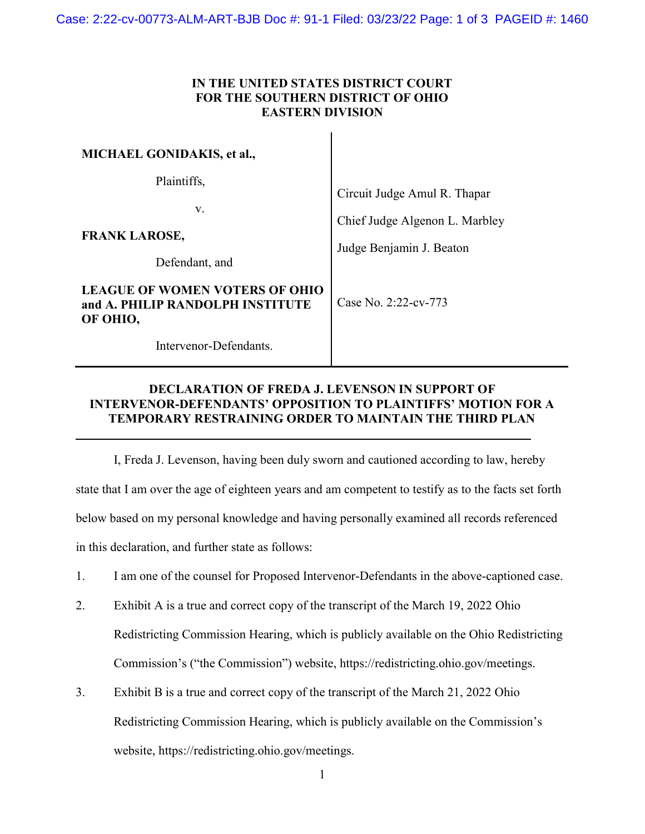## IN THE UNITED STATES DISTRICT COURT FOR THE SOUTHERN DISTRICT OF OHIO EASTERN DIVISION

| <b>MICHAEL GONIDAKIS, et al.,</b>                                                     |                                                                |
|---------------------------------------------------------------------------------------|----------------------------------------------------------------|
| Plaintiffs,<br>V.                                                                     | Circuit Judge Amul R. Thapar<br>Chief Judge Algenon L. Marbley |
| <b>FRANK LAROSE,</b><br>Defendant, and                                                | Judge Benjamin J. Beaton                                       |
| <b>LEAGUE OF WOMEN VOTERS OF OHIO</b><br>and A. PHILIP RANDOLPH INSTITUTE<br>OF OHIO, | Case No. $2:22$ -cv-773                                        |
| Intervenor-Defendants.                                                                |                                                                |

## DECLARATION OF FREDA J. LEVENSON IN SUPPORT OF INTERVENOR-DEFENDANTS' OPPOSITION TO PLAINTIFFS' MOTION FOR A TEMPORARY RESTRAINING ORDER TO MAINTAIN THE THIRD PLAN

l

 I, Freda J. Levenson, having been duly sworn and cautioned according to law, hereby state that I am over the age of eighteen years and am competent to testify as to the facts set forth below based on my personal knowledge and having personally examined all records referenced in this declaration, and further state as follows:

- 1. I am one of the counsel for Proposed Intervenor-Defendants in the above-captioned case.
- 2. Exhibit A is a true and correct copy of the transcript of the March 19, 2022 Ohio Redistricting Commission Hearing, which is publicly available on the Ohio Redistricting Commission's ("the Commission") website, https://redistricting.ohio.gov/meetings.
- 3. Exhibit B is a true and correct copy of the transcript of the March 21, 2022 Ohio Redistricting Commission Hearing, which is publicly available on the Commission's website, https://redistricting.ohio.gov/meetings.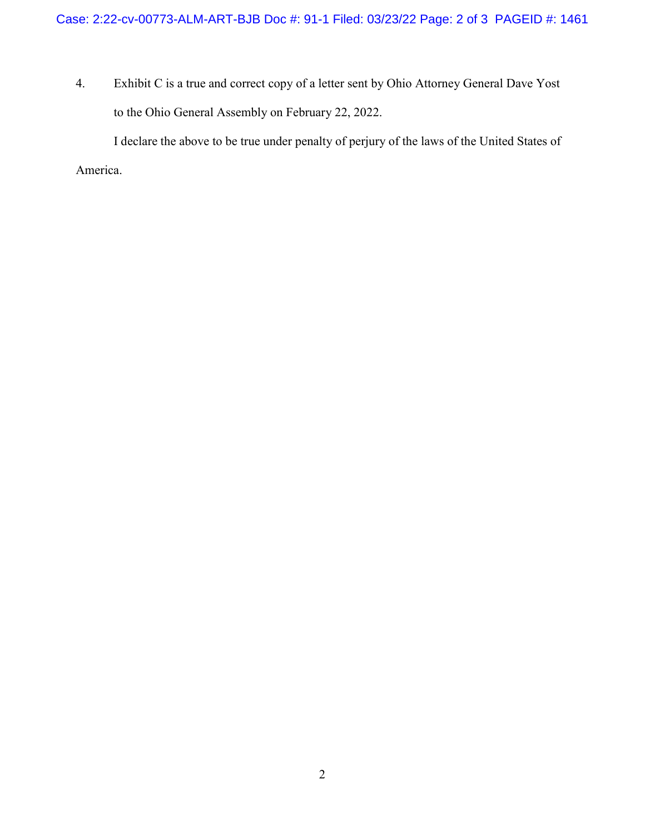4. Exhibit C is a true and correct copy of a letter sent by Ohio Attorney General Dave Yost to the Ohio General Assembly on February 22, 2022.

I declare the above to be true under penalty of perjury of the laws of the United States of America.